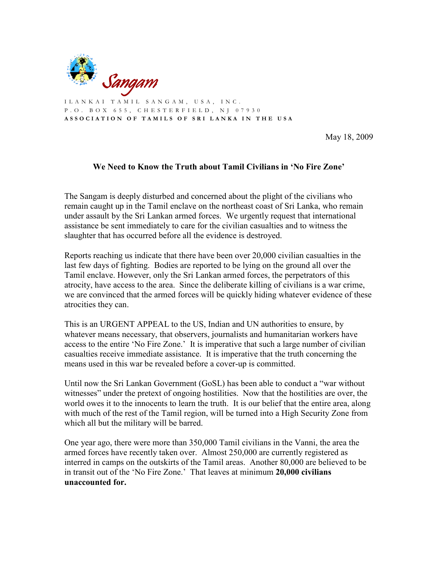

I L A N K A I T A M I L S A N G A M , U S A , I N C . P . O . B O X 6 5 5 , C H E S T E R F I E L D , N J 0 7 9 3 0 A S S O C I A T I O N O F T A M I L S O F S R I L A N K A I N T H E U S A

May 18, 2009

## **We Need to Know the Truth about Tamil Civilians in 'No Fire Zone'**

The Sangam is deeply disturbed and concerned about the plight of the civilians who remain caught up in the Tamil enclave on the northeast coast of Sri Lanka, who remain under assault by the Sri Lankan armed forces. We urgently request that international assistance be sent immediately to care for the civilian casualties and to witness the slaughter that has occurred before all the evidence is destroyed.

Reports reaching us indicate that there have been over 20,000 civilian casualties in the last few days of fighting. Bodies are reported to be lying on the ground all over the Tamil enclave. However, only the Sri Lankan armed forces, the perpetrators of this atrocity, have access to the area. Since the deliberate killing of civilians is a war crime, we are convinced that the armed forces will be quickly hiding whatever evidence of these atrocities they can.

This is an URGENT APPEAL to the US, Indian and UN authorities to ensure, by whatever means necessary, that observers, journalists and humanitarian workers have access to the entire 'No Fire Zone.' It is imperative that such a large number of civilian casualties receive immediate assistance. It is imperative that the truth concerning the means used in this war be revealed before a cover-up is committed.

Until now the Sri Lankan Government (GoSL) has been able to conduct a "war without witnesses" under the pretext of ongoing hostilities. Now that the hostilities are over, the world owes it to the innocents to learn the truth. It is our belief that the entire area, along with much of the rest of the Tamil region, will be turned into a High Security Zone from which all but the military will be barred.

One year ago, there were more than 350,000 Tamil civilians in the Vanni, the area the armed forces have recently taken over. Almost 250,000 are currently registered as interred in camps on the outskirts of the Tamil areas. Another 80,000 are believed to be in transit out of the 'No Fire Zone.' That leaves at minimum **20,000 civilians unaccounted for.**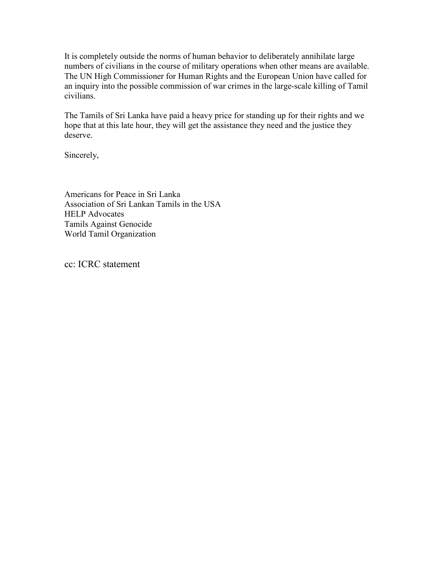It is completely outside the norms of human behavior to deliberately annihilate large numbers of civilians in the course of military operations when other means are available. The UN High Commissioner for Human Rights and the European Union have called for an inquiry into the possible commission of war crimes in the large-scale killing of Tamil civilians.

The Tamils of Sri Lanka have paid a heavy price for standing up for their rights and we hope that at this late hour, they will get the assistance they need and the justice they deserve.

Sincerely,

Americans for Peace in Sri Lanka Association of Sri Lankan Tamils in the USA HELP Advocates Tamils Against Genocide World Tamil Organization

cc: ICRC statement